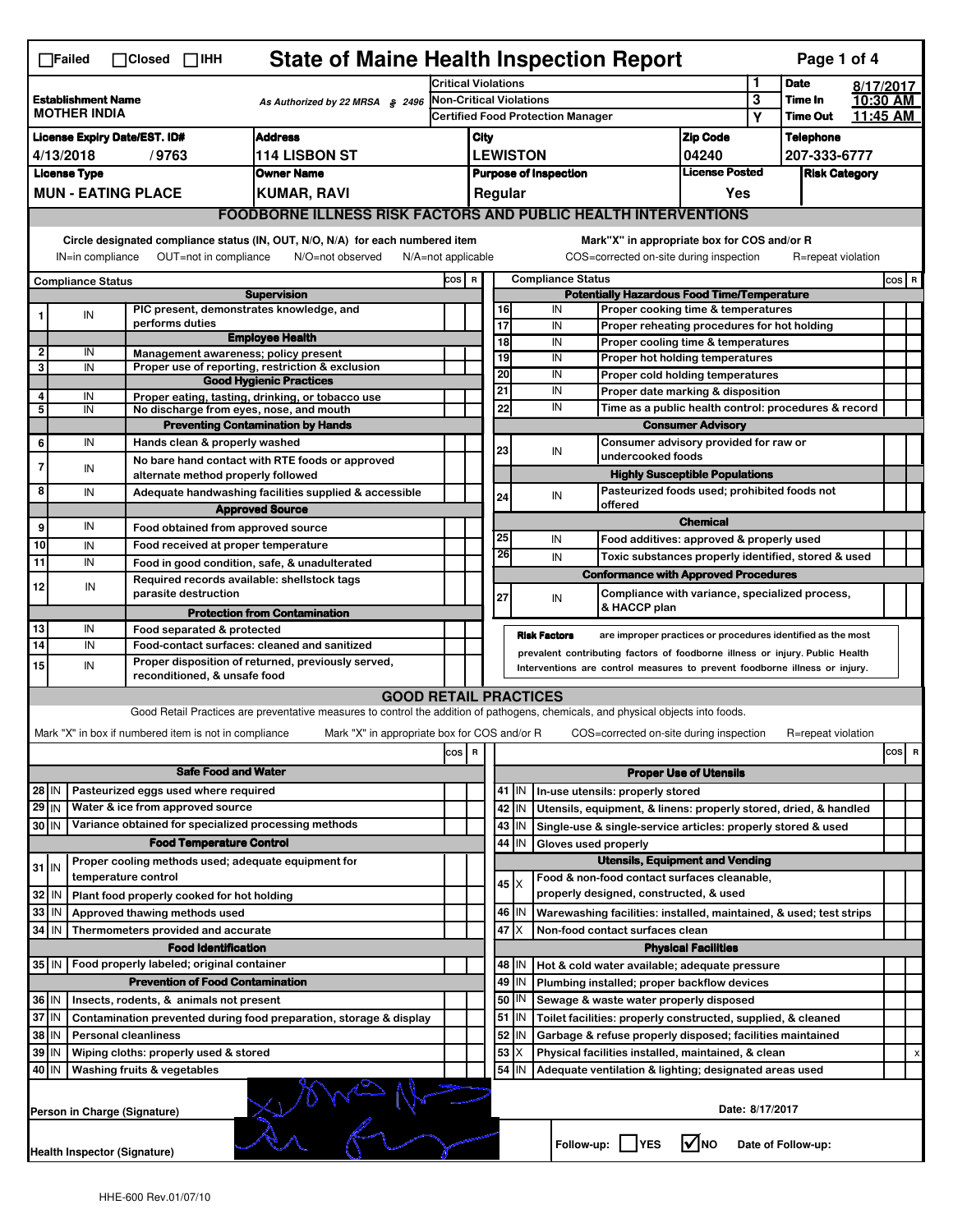|                | $\Box$ Failed                                    |  | $\Box$ Closed $\Box$ IHH                              | <b>State of Maine Health Inspection Report</b>                                                                                                                    |                                |      |                               |                   |                              |                                                                                                              |                                       |        | Page 1 of 4                |                      |   |
|----------------|--------------------------------------------------|--|-------------------------------------------------------|-------------------------------------------------------------------------------------------------------------------------------------------------------------------|--------------------------------|------|-------------------------------|-------------------|------------------------------|--------------------------------------------------------------------------------------------------------------|---------------------------------------|--------|----------------------------|----------------------|---|
|                |                                                  |  |                                                       |                                                                                                                                                                   | <b>Critical Violations</b>     |      |                               |                   |                              |                                                                                                              |                                       | 1      | <b>Date</b>                | 8/17/2017            |   |
|                | <b>Establishment Name</b><br><b>MOTHER INDIA</b> |  |                                                       | As Authorized by 22 MRSA § 2496                                                                                                                                   | <b>Non-Critical Violations</b> |      |                               |                   |                              | <b>Certified Food Protection Manager</b>                                                                     |                                       | 3<br>Y | Time In<br><b>Time Out</b> | 10:30 AM<br>11:45 AM |   |
|                |                                                  |  | <b>License Expiry Date/EST. ID#</b>                   | <b>Address</b>                                                                                                                                                    |                                | City |                               |                   |                              |                                                                                                              | <b>Zip Code</b>                       |        | <b>Telephone</b>           |                      |   |
|                | 4/13/2018                                        |  | /9763                                                 | <b>114 LISBON ST</b>                                                                                                                                              |                                |      |                               | <b>LEWISTON</b>   |                              |                                                                                                              | 04240                                 |        | 207-333-6777               |                      |   |
|                | <b>License Type</b>                              |  |                                                       | <b>Owner Name</b>                                                                                                                                                 |                                |      |                               |                   | <b>Purpose of Inspection</b> |                                                                                                              | <b>License Posted</b>                 |        | <b>Risk Category</b>       |                      |   |
|                |                                                  |  | <b>MUN - EATING PLACE</b>                             | <b>KUMAR, RAVI</b>                                                                                                                                                |                                |      |                               | Regular           |                              |                                                                                                              | Yes                                   |        |                            |                      |   |
|                |                                                  |  |                                                       | <b>FOODBORNE ILLNESS RISK FACTORS AND PUBLIC HEALTH INTERVENTIONS</b>                                                                                             |                                |      |                               |                   |                              |                                                                                                              |                                       |        |                            |                      |   |
|                |                                                  |  |                                                       |                                                                                                                                                                   |                                |      |                               |                   |                              |                                                                                                              |                                       |        |                            |                      |   |
|                | IN=in compliance                                 |  | OUT=not in compliance                                 | Circle designated compliance status (IN, OUT, N/O, N/A) for each numbered item<br>N/O=not observed<br>$N/A = not$ applicable                                      |                                |      |                               |                   |                              | Mark"X" in appropriate box for COS and/or R<br>COS=corrected on-site during inspection                       |                                       |        | R=repeat violation         |                      |   |
|                |                                                  |  |                                                       |                                                                                                                                                                   |                                |      |                               |                   |                              |                                                                                                              |                                       |        |                            |                      |   |
|                | <b>Compliance Status</b>                         |  |                                                       | <b>Supervision</b>                                                                                                                                                | COS R                          |      |                               |                   |                              | <b>Compliance Status</b><br><b>Potentially Hazardous Food Time/Temperature</b>                               |                                       |        |                            | $cos$ R              |   |
|                | IN                                               |  | PIC present, demonstrates knowledge, and              |                                                                                                                                                                   |                                |      |                               | 16                | IN                           | Proper cooking time & temperatures                                                                           |                                       |        |                            |                      |   |
|                |                                                  |  | performs duties                                       |                                                                                                                                                                   |                                |      | 17                            |                   | IN                           | Proper reheating procedures for hot holding                                                                  |                                       |        |                            |                      |   |
| $\mathbf{2}$   | IN                                               |  |                                                       | <b>Employee Health</b>                                                                                                                                            |                                |      |                               | 18                | IN                           | Proper cooling time & temperatures                                                                           |                                       |        |                            |                      |   |
| 3              | IN                                               |  | Management awareness; policy present                  | Proper use of reporting, restriction & exclusion                                                                                                                  |                                |      |                               | 19                | IN                           | Proper hot holding temperatures                                                                              |                                       |        |                            |                      |   |
|                |                                                  |  |                                                       | <b>Good Hygienic Practices</b>                                                                                                                                    |                                |      | 20                            |                   | IN                           | Proper cold holding temperatures                                                                             |                                       |        |                            |                      |   |
| 4              | IN                                               |  |                                                       | Proper eating, tasting, drinking, or tobacco use                                                                                                                  |                                |      | 21                            |                   | IN<br>IN                     | Proper date marking & disposition                                                                            |                                       |        |                            |                      |   |
| 5              | IN                                               |  | No discharge from eyes, nose, and mouth               |                                                                                                                                                                   |                                |      |                               | 22                |                              | Time as a public health control: procedures & record                                                         |                                       |        |                            |                      |   |
|                | IN                                               |  |                                                       | <b>Preventing Contamination by Hands</b>                                                                                                                          |                                |      |                               |                   |                              |                                                                                                              | <b>Consumer Advisory</b>              |        |                            |                      |   |
| 6              |                                                  |  | Hands clean & properly washed                         |                                                                                                                                                                   |                                |      | 23                            |                   | IN                           | Consumer advisory provided for raw or<br>undercooked foods                                                   |                                       |        |                            |                      |   |
| 7              | IN                                               |  | alternate method properly followed                    | No bare hand contact with RTE foods or approved                                                                                                                   |                                |      |                               |                   |                              |                                                                                                              | <b>Highly Susceptible Populations</b> |        |                            |                      |   |
| 8              | IN                                               |  |                                                       | Adequate handwashing facilities supplied & accessible                                                                                                             |                                |      |                               |                   |                              | Pasteurized foods used; prohibited foods not                                                                 |                                       |        |                            |                      |   |
|                |                                                  |  |                                                       | <b>Approved Source</b>                                                                                                                                            |                                |      | 24                            |                   | IN                           | offered                                                                                                      |                                       |        |                            |                      |   |
| 9              | IN                                               |  | Food obtained from approved source                    |                                                                                                                                                                   |                                |      |                               |                   |                              |                                                                                                              | <b>Chemical</b>                       |        |                            |                      |   |
| 10             | IN                                               |  | Food received at proper temperature                   |                                                                                                                                                                   |                                |      | 25                            |                   | IN                           | Food additives: approved & properly used                                                                     |                                       |        |                            |                      |   |
| 11             | IN                                               |  |                                                       | Food in good condition, safe, & unadulterated                                                                                                                     |                                |      | 26                            |                   | IN                           | Toxic substances properly identified, stored & used                                                          |                                       |        |                            |                      |   |
|                |                                                  |  | Required records available: shellstock tags           |                                                                                                                                                                   |                                |      |                               |                   |                              | <b>Conformance with Approved Procedures</b>                                                                  |                                       |        |                            |                      |   |
| 12             | IN                                               |  | parasite destruction                                  |                                                                                                                                                                   |                                |      | 27                            |                   | IN                           | Compliance with variance, specialized process,                                                               |                                       |        |                            |                      |   |
|                |                                                  |  |                                                       | <b>Protection from Contamination</b>                                                                                                                              |                                |      |                               |                   |                              | & HACCP plan                                                                                                 |                                       |        |                            |                      |   |
| 13             | IN                                               |  | Food separated & protected                            |                                                                                                                                                                   |                                |      |                               |                   | <b>Risk Factors</b>          | are improper practices or procedures identified as the most                                                  |                                       |        |                            |                      |   |
| 14             | IN                                               |  |                                                       | Food-contact surfaces: cleaned and sanitized                                                                                                                      |                                |      |                               |                   |                              | prevalent contributing factors of foodborne illness or injury. Public Health                                 |                                       |        |                            |                      |   |
| 15             | IN                                               |  |                                                       | Proper disposition of returned, previously served,                                                                                                                |                                |      |                               |                   |                              | Interventions are control measures to prevent foodborne illness or injury.                                   |                                       |        |                            |                      |   |
|                |                                                  |  | reconditioned, & unsafe food                          |                                                                                                                                                                   |                                |      |                               |                   |                              |                                                                                                              |                                       |        |                            |                      |   |
|                |                                                  |  |                                                       | <b>GOOD RETAIL PRACTICES</b><br>Good Retail Practices are preventative measures to control the addition of pathogens, chemicals, and physical objects into foods. |                                |      |                               |                   |                              |                                                                                                              |                                       |        |                            |                      |   |
|                |                                                  |  |                                                       |                                                                                                                                                                   |                                |      |                               |                   |                              |                                                                                                              |                                       |        |                            |                      |   |
|                |                                                  |  | Mark "X" in box if numbered item is not in compliance | Mark "X" in appropriate box for COS and/or R                                                                                                                      |                                |      |                               |                   |                              | COS=corrected on-site during inspection                                                                      |                                       |        | R=repeat violation         |                      |   |
|                |                                                  |  |                                                       |                                                                                                                                                                   | COS R                          |      |                               |                   |                              |                                                                                                              |                                       |        |                            | cosl                 | R |
|                |                                                  |  | <b>Safe Food and Water</b>                            |                                                                                                                                                                   |                                |      | <b>Proper Use of Utensils</b> |                   |                              |                                                                                                              |                                       |        |                            |                      |   |
| 28 IN          |                                                  |  | Pasteurized eggs used where required                  |                                                                                                                                                                   |                                |      |                               | 41   IN           |                              | In-use utensils: properly stored                                                                             |                                       |        |                            |                      |   |
| $29$ IN        |                                                  |  | Water & ice from approved source                      |                                                                                                                                                                   |                                |      |                               | 42<br>IN          |                              | Utensils, equipment, & linens: properly stored, dried, & handled                                             |                                       |        |                            |                      |   |
| 30 IN          |                                                  |  | Variance obtained for specialized processing methods  |                                                                                                                                                                   |                                |      |                               | 43<br>IN          |                              | Single-use & single-service articles: properly stored & used                                                 |                                       |        |                            |                      |   |
|                |                                                  |  | <b>Food Temperature Control</b>                       |                                                                                                                                                                   |                                |      |                               | 44<br>IN          |                              | Gloves used properly                                                                                         |                                       |        |                            |                      |   |
| $31$ IN        |                                                  |  | Proper cooling methods used; adequate equipment for   |                                                                                                                                                                   |                                |      |                               |                   |                              | <b>Utensils, Equipment and Vending</b>                                                                       |                                       |        |                            |                      |   |
|                |                                                  |  | temperature control                                   |                                                                                                                                                                   |                                |      |                               | 45   X            |                              | Food & non-food contact surfaces cleanable,                                                                  |                                       |        |                            |                      |   |
| 32             | IN                                               |  | Plant food properly cooked for hot holding            |                                                                                                                                                                   |                                |      |                               |                   |                              | properly designed, constructed, & used                                                                       |                                       |        |                            |                      |   |
| 33             | IN                                               |  | Approved thawing methods used                         |                                                                                                                                                                   |                                |      |                               | 46<br>IN          |                              | Warewashing facilities: installed, maintained, & used; test strips                                           |                                       |        |                            |                      |   |
| 34 IN          |                                                  |  | Thermometers provided and accurate                    |                                                                                                                                                                   |                                |      |                               | 47                |                              | Non-food contact surfaces clean                                                                              |                                       |        |                            |                      |   |
|                |                                                  |  | <b>Food Identification</b>                            |                                                                                                                                                                   |                                |      |                               |                   |                              |                                                                                                              | <b>Physical Facilities</b>            |        |                            |                      |   |
| 35 IN          |                                                  |  | Food properly labeled; original container             |                                                                                                                                                                   |                                |      |                               | 48   IN           |                              | Hot & cold water available; adequate pressure                                                                |                                       |        |                            |                      |   |
|                |                                                  |  | <b>Prevention of Food Contamination</b>               |                                                                                                                                                                   |                                |      |                               | 49<br>IN          |                              | Plumbing installed; proper backflow devices                                                                  |                                       |        |                            |                      |   |
| 36 IN<br>37 IN |                                                  |  | Insects, rodents, & animals not present               |                                                                                                                                                                   |                                |      |                               | 50   IN<br>$51$ M |                              | Sewage & waste water properly disposed                                                                       |                                       |        |                            |                      |   |
| 38 IN          |                                                  |  | <b>Personal cleanliness</b>                           | Contamination prevented during food preparation, storage & display                                                                                                |                                |      |                               | 52<br>IN          |                              | Toilet facilities: properly constructed, supplied, & cleaned                                                 |                                       |        |                            |                      |   |
| 39 IN          |                                                  |  | Wiping cloths: properly used & stored                 |                                                                                                                                                                   |                                |      |                               | 53                |                              | Garbage & refuse properly disposed; facilities maintained                                                    |                                       |        |                            |                      |   |
| 40 IN          |                                                  |  | Washing fruits & vegetables                           |                                                                                                                                                                   |                                |      |                               | 54<br>IN          |                              | Physical facilities installed, maintained, & clean<br>Adequate ventilation & lighting; designated areas used |                                       |        |                            |                      | X |
|                |                                                  |  |                                                       |                                                                                                                                                                   |                                |      |                               |                   |                              |                                                                                                              |                                       |        |                            |                      |   |
|                | Person in Charge (Signature)                     |  |                                                       |                                                                                                                                                                   |                                |      | Date: 8/17/2017               |                   |                              |                                                                                                              |                                       |        |                            |                      |   |
|                | Health Inspector (Signature)                     |  |                                                       |                                                                                                                                                                   |                                |      |                               |                   |                              | Follow-up:     YES                                                                                           | l√lno                                 |        | Date of Follow-up:         |                      |   |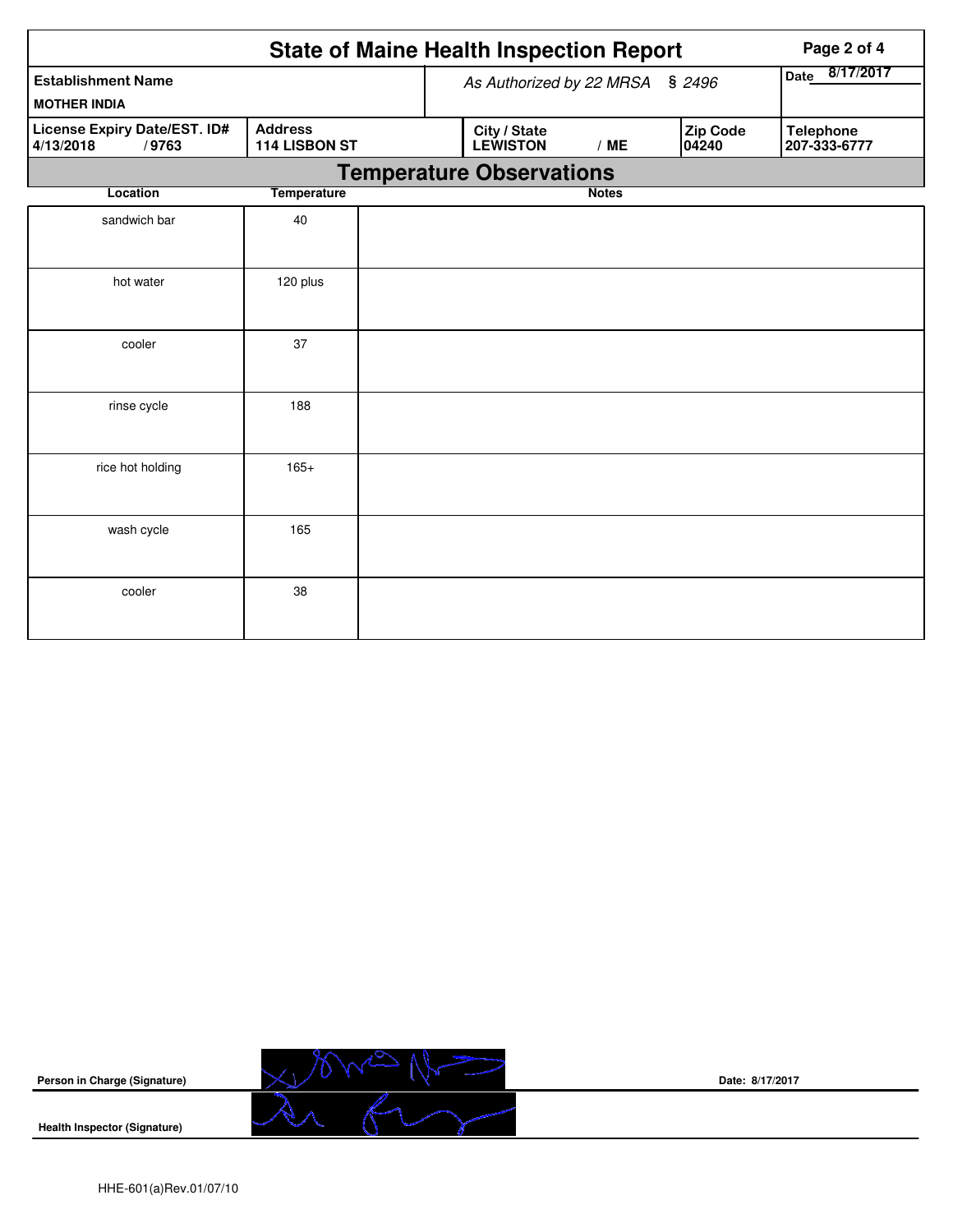|                                                    | Page 2 of 4                     |  |                                 |              |                   |                                  |  |  |  |  |
|----------------------------------------------------|---------------------------------|--|---------------------------------|--------------|-------------------|----------------------------------|--|--|--|--|
| <b>Establishment Name</b><br><b>MOTHER INDIA</b>   |                                 |  | As Authorized by 22 MRSA        |              | \$2496            | Date 8/17/2017                   |  |  |  |  |
| License Expiry Date/EST. ID#<br>/9763<br>4/13/2018 | <b>Address</b><br>114 LISBON ST |  | City / State<br><b>LEWISTON</b> | /ME          | Zip Code<br>04240 | <b>Telephone</b><br>207-333-6777 |  |  |  |  |
| <b>Temperature Observations</b>                    |                                 |  |                                 |              |                   |                                  |  |  |  |  |
| Location                                           | <b>Temperature</b>              |  |                                 | <b>Notes</b> |                   |                                  |  |  |  |  |
| sandwich bar                                       | 40                              |  |                                 |              |                   |                                  |  |  |  |  |
| hot water                                          | 120 plus                        |  |                                 |              |                   |                                  |  |  |  |  |
| cooler                                             | 37                              |  |                                 |              |                   |                                  |  |  |  |  |
| rinse cycle                                        | 188                             |  |                                 |              |                   |                                  |  |  |  |  |
| rice hot holding                                   | $165+$                          |  |                                 |              |                   |                                  |  |  |  |  |
| wash cycle                                         | 165                             |  |                                 |              |                   |                                  |  |  |  |  |
| cooler                                             | 38                              |  |                                 |              |                   |                                  |  |  |  |  |



**Date: 8/17/2017**

**Health Inspector (Signature)**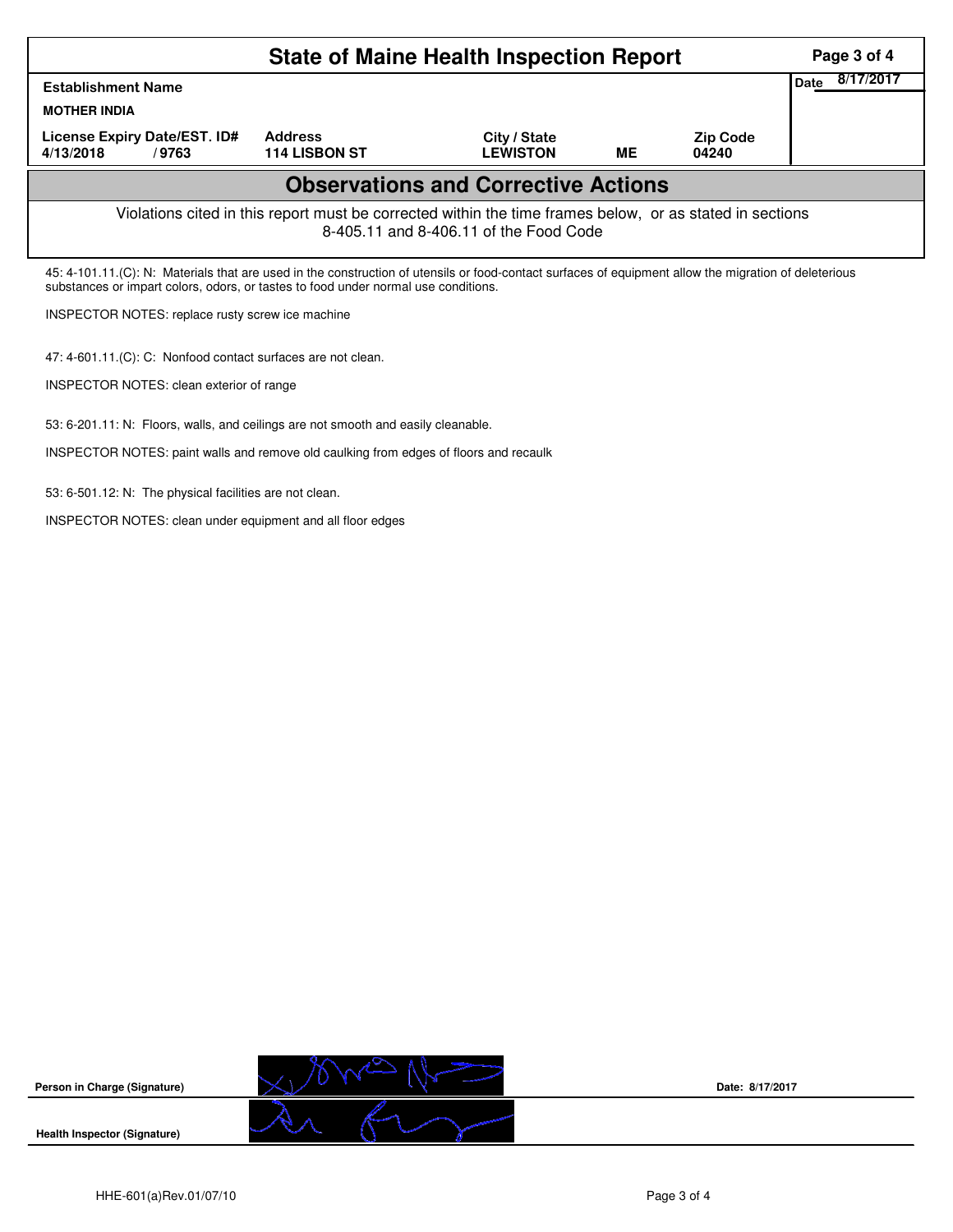|                                                                                                                                                                                                                                              | Page 3 of 4                                                  |                                 |           |                          |                          |  |  |  |
|----------------------------------------------------------------------------------------------------------------------------------------------------------------------------------------------------------------------------------------------|--------------------------------------------------------------|---------------------------------|-----------|--------------------------|--------------------------|--|--|--|
| <b>Establishment Name</b>                                                                                                                                                                                                                    |                                                              |                                 |           |                          | 8/17/2017<br><b>Date</b> |  |  |  |
| <b>MOTHER INDIA</b>                                                                                                                                                                                                                          |                                                              |                                 |           |                          |                          |  |  |  |
| License Expiry Date/EST. ID#<br>4/13/2018<br>/9763                                                                                                                                                                                           | <b>Address</b><br><b>114 LISBON ST</b>                       | City / State<br><b>LEWISTON</b> | <b>ME</b> | <b>Zip Code</b><br>04240 |                          |  |  |  |
| <b>Observations and Corrective Actions</b>                                                                                                                                                                                                   |                                                              |                                 |           |                          |                          |  |  |  |
| Violations cited in this report must be corrected within the time frames below, or as stated in sections<br>8-405.11 and 8-406.11 of the Food Code                                                                                           |                                                              |                                 |           |                          |                          |  |  |  |
| 45: 4-101.11. (C): N: Materials that are used in the construction of utensils or food-contact surfaces of equipment allow the migration of deleterious<br>substances or impart colors, odors, or tastes to food under normal use conditions. |                                                              |                                 |           |                          |                          |  |  |  |
| INSPECTOR NOTES: replace rusty screw ice machine                                                                                                                                                                                             |                                                              |                                 |           |                          |                          |  |  |  |
|                                                                                                                                                                                                                                              | 47: 4-601.11.(C): C: Nonfood contact surfaces are not clean. |                                 |           |                          |                          |  |  |  |
| INSPECTOR NOTES: clean exterior of range                                                                                                                                                                                                     |                                                              |                                 |           |                          |                          |  |  |  |

53: 6-201.11: N: Floors, walls, and ceilings are not smooth and easily cleanable.

INSPECTOR NOTES: paint walls and remove old caulking from edges of floors and recaulk

53: 6-501.12: N: The physical facilities are not clean.

INSPECTOR NOTES: clean under equipment and all floor edges



**Date: 8/17/2017**